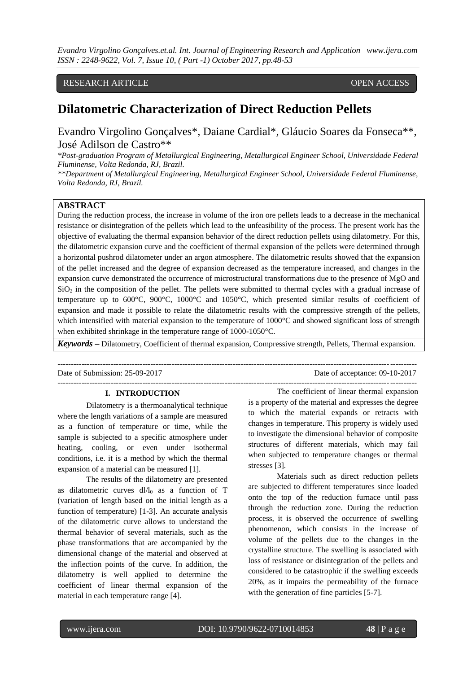*Evandro Virgolino Gonçalves.et.al. Int. Journal of Engineering Research and Application www.ijera.com ISSN : 2248-9622, Vol. 7, Issue 10, ( Part -1) October 2017, pp.48-53*

# RESEARCH ARTICLE **CONSERVERS** OPEN ACCESS

# **Dilatometric Characterization of Direct Reduction Pellets**

Evandro Virgolino Gonçalves\*, Daiane Cardial\*, Gláucio Soares da Fonseca\*\*, José Adilson de Castro\*\*

*\*Post-graduation Program of Metallurgical Engineering, Metallurgical Engineer School, Universidade Federal Fluminense, Volta Redonda, RJ, Brazil.*

*\*\*Department of Metallurgical Engineering, Metallurgical Engineer School, Universidade Federal Fluminense, Volta Redonda, RJ, Brazil.*

# **ABSTRACT**

During the reduction process, the increase in volume of the iron ore pellets leads to a decrease in the mechanical resistance or disintegration of the pellets which lead to the unfeasibility of the process. The present work has the objective of evaluating the thermal expansion behavior of the direct reduction pellets using dilatometry. For this, the dilatometric expansion curve and the coefficient of thermal expansion of the pellets were determined through a horizontal pushrod dilatometer under an argon atmosphere. The dilatometric results showed that the expansion of the pellet increased and the degree of expansion decreased as the temperature increased, and changes in the expansion curve demonstrated the occurrence of microstructural transformations due to the presence of MgO and  $SiO<sub>2</sub>$  in the composition of the pellet. The pellets were submitted to thermal cycles with a gradual increase of temperature up to 600°C, 900°C, 1000°C and 1050°C, which presented similar results of coefficient of expansion and made it possible to relate the dilatometric results with the compressive strength of the pellets, which intensified with material expansion to the temperature of 1000°C and showed significant loss of strength when exhibited shrinkage in the temperature range of 1000-1050°C.

*Keywords* **–** Dilatometry, Coefficient of thermal expansion, Compressive strength, Pellets, Thermal expansion.

**---------------------------------------------------------------------------------------------------------------------------------------** Date of Submission: 25-09-2017 Date of acceptance: 09-10-2017

#### **I. INTRODUCTION**

Dilatometry is a thermoanalytical technique where the length variations of a sample are measured as a function of temperature or time, while the sample is subjected to a specific atmosphere under heating, cooling, or even under isothermal conditions, i.e. it is a method by which the thermal expansion of a material can be measured [1].

The results of the dilatometry are presented as dilatometric curves  $dl/l_0$  as a function of T (variation of length based on the initial length as a function of temperature) [1-3]. An accurate analysis of the dilatometric curve allows to understand the thermal behavior of several materials, such as the phase transformations that are accompanied by the dimensional change of the material and observed at the inflection points of the curve. In addition, the dilatometry is well applied to determine the coefficient of linear thermal expansion of the material in each temperature range [4].

The coefficient of linear thermal expansion is a property of the material and expresses the degree to which the material expands or retracts with changes in temperature. This property is widely used to investigate the dimensional behavior of composite structures of different materials, which may fail when subjected to temperature changes or thermal stresses [3].

**---------------------------------------------------------------------------------------------------------------------------------------**

Materials such as direct reduction pellets are subjected to different temperatures since loaded onto the top of the reduction furnace until pass through the reduction zone. During the reduction process, it is observed the occurrence of swelling phenomenon, which consists in the increase of volume of the pellets due to the changes in the crystalline structure. The swelling is associated with loss of resistance or disintegration of the pellets and considered to be catastrophic if the swelling exceeds 20%, as it impairs the permeability of the furnace with the generation of fine particles [5-7].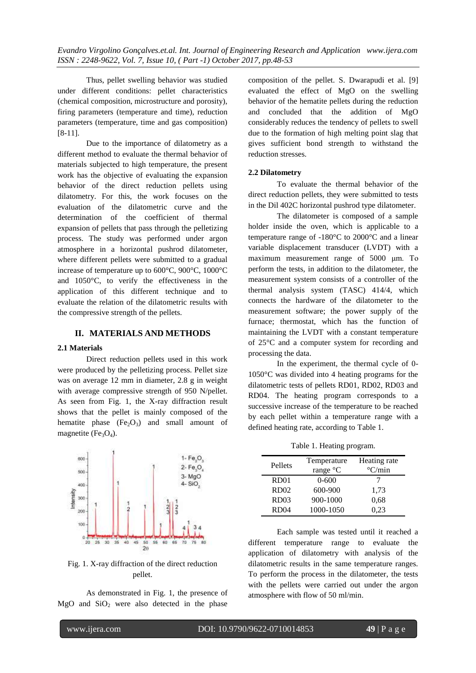*Evandro Virgolino Gonçalves.et.al. Int. Journal of Engineering Research and Application www.ijera.com ISSN : 2248-9622, Vol. 7, Issue 10, ( Part -1) October 2017, pp.48-53*

Thus, pellet swelling behavior was studied under different conditions: pellet characteristics (chemical composition, microstructure and porosity), firing parameters (temperature and time), reduction parameters (temperature, time and gas composition) [8-11].

Due to the importance of dilatometry as a different method to evaluate the thermal behavior of materials subjected to high temperature, the present work has the objective of evaluating the expansion behavior of the direct reduction pellets using dilatometry. For this, the work focuses on the evaluation of the dilatometric curve and the determination of the coefficient of thermal expansion of pellets that pass through the pelletizing process. The study was performed under argon atmosphere in a horizontal pushrod dilatometer, where different pellets were submitted to a gradual increase of temperature up to 600°C, 900°C, 1000°C and 1050°C, to verify the effectiveness in the application of this different technique and to evaluate the relation of the dilatometric results with the compressive strength of the pellets.

# **II. MATERIALS AND METHODS**

### **2.1 Materials**

Direct reduction pellets used in this work were produced by the pelletizing process. Pellet size was on average 12 mm in diameter, 2.8 g in weight with average compressive strength of 950 N/pellet. As seen from Fig. 1, the X-ray diffraction result shows that the pellet is mainly composed of the hematite phase  $(Fe<sub>2</sub>O<sub>3</sub>)$  and small amount of magnetite ( $Fe<sub>3</sub>O<sub>4</sub>$ ).



Fig. 1. X-ray diffraction of the direct reduction pellet.

As demonstrated in Fig. 1, the presence of  $MgO$  and  $SiO<sub>2</sub>$  were also detected in the phase

composition of the pellet. S. Dwarapudi et al. [9] evaluated the effect of MgO on the swelling behavior of the hematite pellets during the reduction and concluded that the addition of MgO considerably reduces the tendency of pellets to swell due to the formation of high melting point slag that gives sufficient bond strength to withstand the reduction stresses.

#### **2.2 Dilatometry**

To evaluate the thermal behavior of the direct reduction pellets, they were submitted to tests in the Dil 402C horizontal pushrod type dilatometer.

The dilatometer is composed of a sample holder inside the oven, which is applicable to a temperature range of -180°C to 2000°C and a linear variable displacement transducer (LVDT) with a maximum measurement range of 5000 μm. To perform the tests, in addition to the dilatometer, the measurement system consists of a controller of the thermal analysis system (TASC) 414/4, which connects the hardware of the dilatometer to the measurement software; the power supply of the furnace; thermostat, which has the function of maintaining the LVDT with a constant temperature of 25°C and a computer system for recording and processing the data.

In the experiment, the thermal cycle of 0- 1050°C was divided into 4 heating programs for the dilatometric tests of pellets RD01, RD02, RD03 and RD04. The heating program corresponds to a successive increase of the temperature to be reached by each pellet within a temperature range with a defined heating rate, according to Table 1.

Table 1. Heating program.

| Pellets          | Temperature | Heating rate             |
|------------------|-------------|--------------------------|
|                  | range °C    | $\mathrm{^{\circ}C/min}$ |
| RD <sub>01</sub> | $0 - 600$   |                          |
| RD <sub>02</sub> | 600-900     | 1,73                     |
| RD <sub>03</sub> | 900-1000    | 0,68                     |
| RD <sub>04</sub> | 1000-1050   | 0.23                     |

Each sample was tested until it reached a different temperature range to evaluate the application of dilatometry with analysis of the dilatometric results in the same temperature ranges. To perform the process in the dilatometer, the tests with the pellets were carried out under the argon atmosphere with flow of 50 ml/min.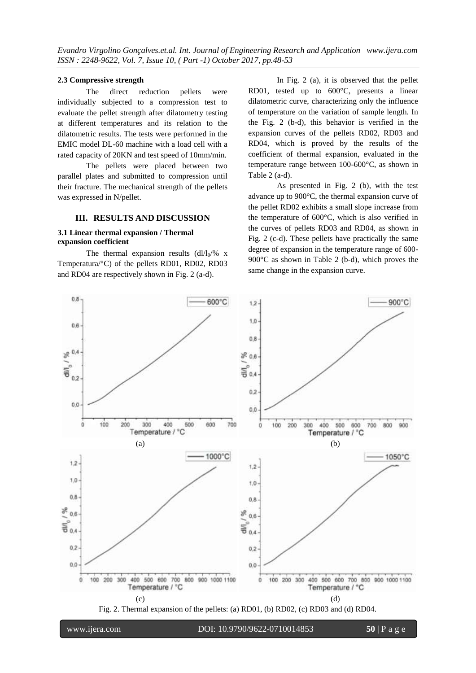#### **2.3 Compressive strength**

The direct reduction pellets were individually subjected to a compression test to evaluate the pellet strength after dilatometry testing at different temperatures and its relation to the dilatometric results. The tests were performed in the EMIC model DL-60 machine with a load cell with a rated capacity of 20KN and test speed of 10mm/min.

The pellets were placed between two parallel plates and submitted to compression until their fracture. The mechanical strength of the pellets was expressed in N/pellet.

### **III. RESULTS AND DISCUSSION**

# **3.1 Linear thermal expansion / Thermal expansion coefficient**

The thermal expansion results  $\frac{dI}{I_0}\%$  x Temperatura/°C) of the pellets RD01, RD02, RD03 and RD04 are respectively shown in Fig. 2 (a-d).

In Fig. 2 (a), it is observed that the pellet RD01, tested up to 600°C, presents a linear dilatometric curve, characterizing only the influence of temperature on the variation of sample length. In the Fig. 2 (b-d), this behavior is verified in the expansion curves of the pellets RD02, RD03 and RD04, which is proved by the results of the coefficient of thermal expansion, evaluated in the temperature range between 100-600°C, as shown in Table 2 (a-d).

As presented in Fig. 2 (b), with the test advance up to 900°C, the thermal expansion curve of the pellet RD02 exhibits a small slope increase from the temperature of 600°C, which is also verified in the curves of pellets RD03 and RD04, as shown in Fig. 2 (c-d). These pellets have practically the same degree of expansion in the temperature range of 600- 900°C as shown in Table 2 (b-d), which proves the same change in the expansion curve.



Fig. 2. Thermal expansion of the pellets: (a) RD01, (b) RD02, (c) RD03 and (d) RD04.

www.ijera.com DOI: 10.9790/9622-0710014853 **50** | P a g e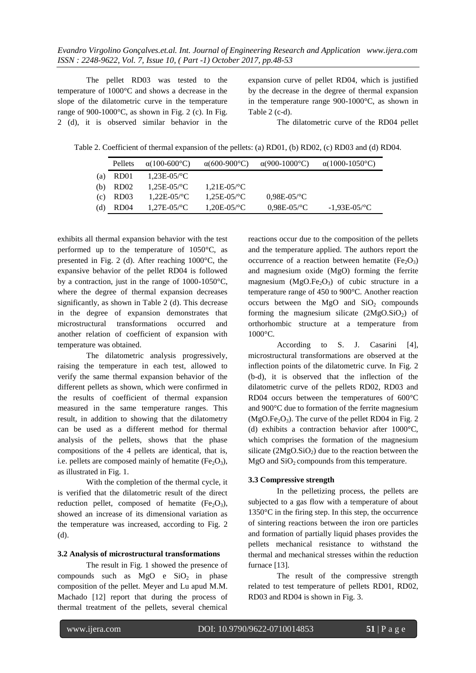The pellet RD03 was tested to the temperature of 1000°C and shows a decrease in the slope of the dilatometric curve in the temperature range of 900-1000 $^{\circ}$ C, as shown in Fig. 2 (c). In Fig. 2 (d), it is observed similar behavior in the

expansion curve of pellet RD04, which is justified by the decrease in the degree of thermal expansion in the temperature range 900-1000°C, as shown in Table 2 (c-d).

The dilatometric curve of the RD04 pellet

Table 2. Coefficient of thermal expansion of the pellets: (a) RD01, (b) RD02, (c) RD03 and (d) RD04.

|     | Pellets          | $\alpha$ (100-600°C)        | $\alpha(600-900^{\circ}C)$  | $\alpha(900-1000^{\circ}C)$ | $\alpha(1000-1050^{\circ}C)$ |
|-----|------------------|-----------------------------|-----------------------------|-----------------------------|------------------------------|
| (a) | RD <sub>01</sub> | $1.23E - 05$ /°C            |                             |                             |                              |
| (b) | RD <sub>02</sub> | $1.25E - 0.5$ /°C           | $1.21E - 05$ <sup>o</sup> C |                             |                              |
| (C) | RD <sub>03</sub> | $1.22E - 05$ <sup>o</sup> C | $1,25E-05$ <sup>o</sup> C   | $0.98E - 05$ <sup>o</sup> C |                              |
| (d) | RD <sub>04</sub> | $1.27E - 05$ /°C            | $1,20E-05$ <sup>o</sup> C   | $0.98E - 05$ <sup>o</sup> C | $-1,93E-05$ <sup>o</sup> C   |

exhibits all thermal expansion behavior with the test performed up to the temperature of 1050°C, as presented in Fig. 2 (d). After reaching 1000°C, the expansive behavior of the pellet RD04 is followed by a contraction, just in the range of 1000-1050°C, where the degree of thermal expansion decreases significantly, as shown in Table 2 (d). This decrease in the degree of expansion demonstrates that microstructural transformations occurred and another relation of coefficient of expansion with temperature was obtained.

The dilatometric analysis progressively, raising the temperature in each test, allowed to verify the same thermal expansion behavior of the different pellets as shown, which were confirmed in the results of coefficient of thermal expansion measured in the same temperature ranges. This result, in addition to showing that the dilatometry can be used as a different method for thermal analysis of the pellets, shows that the phase compositions of the 4 pellets are identical, that is, i.e. pellets are composed mainly of hematite  $(Fe<sub>2</sub>O<sub>3</sub>)$ , as illustrated in Fig. 1.

With the completion of the thermal cycle, it is verified that the dilatometric result of the direct reduction pellet, composed of hematite  $(Fe<sub>2</sub>O<sub>3</sub>)$ , showed an increase of its dimensional variation as the temperature was increased, according to Fig. 2 (d).

#### **3.2 Analysis of microstructural transformations**

The result in Fig. 1 showed the presence of compounds such as  $MgO$  e  $SiO<sub>2</sub>$  in phase composition of the pellet. Meyer and Lu apud M.M. Machado [12] report that during the process of thermal treatment of the pellets, several chemical

reactions occur due to the composition of the pellets and the temperature applied. The authors report the occurrence of a reaction between hematite  $(Fe<sub>2</sub>O<sub>3</sub>)$ and magnesium oxide (MgO) forming the ferrite magnesium  $(MgO.Fe<sub>2</sub>O<sub>3</sub>)$  of cubic structure in a temperature range of 450 to 900°C. Another reaction occurs between the MgO and  $SiO<sub>2</sub>$  compounds forming the magnesium silicate  $(2MgO.SiO<sub>2</sub>)$  of orthorhombic structure at a temperature from 1000°C.

According to S. J. Casarini [4], microstructural transformations are observed at the inflection points of the dilatometric curve. In Fig. 2 (b-d), it is observed that the inflection of the dilatometric curve of the pellets RD02, RD03 and RD04 occurs between the temperatures of 600°C and 900°C due to formation of the ferrite magnesium  $(MgO.Fe<sub>2</sub>O<sub>3</sub>)$ . The curve of the pellet RD04 in Fig. 2 (d) exhibits a contraction behavior after 1000°C, which comprises the formation of the magnesium silicate  $(2MgO.SiO<sub>2</sub>)$  due to the reaction between the  $MgO$  and  $SiO<sub>2</sub>$  compounds from this temperature.

#### **3.3 Compressive strength**

In the pelletizing process, the pellets are subjected to a gas flow with a temperature of about 1350°C in the firing step. In this step, the occurrence of sintering reactions between the iron ore particles and formation of partially liquid phases provides the pellets mechanical resistance to withstand the thermal and mechanical stresses within the reduction furnace [13].

The result of the compressive strength related to test temperature of pellets RD01, RD02, RD03 and RD04 is shown in Fig. 3.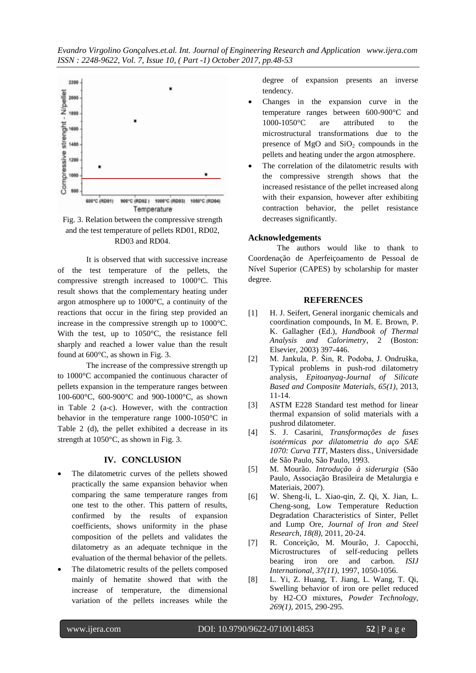



It is observed that with successive increase of the test temperature of the pellets, the compressive strength increased to 1000°C. This result shows that the complementary heating under argon atmosphere up to 1000°C, a continuity of the reactions that occur in the firing step provided an increase in the compressive strength up to 1000°C. With the test, up to 1050°C, the resistance fell sharply and reached a lower value than the result found at 600°C, as shown in Fig. 3.

The increase of the compressive strength up to 1000°C accompanied the continuous character of pellets expansion in the temperature ranges between 100-600°C, 600-900°C and 900-1000°C, as shown in Table 2 (a-c). However, with the contraction behavior in the temperature range 1000-1050°C in Table 2 (d), the pellet exhibited a decrease in its strength at 1050°C, as shown in Fig. 3.

# **IV. CONCLUSION**

- The dilatometric curves of the pellets showed practically the same expansion behavior when comparing the same temperature ranges from one test to the other. This pattern of results, confirmed by the results of expansion coefficients, shows uniformity in the phase composition of the pellets and validates the dilatometry as an adequate technique in the evaluation of the thermal behavior of the pellets.
- The dilatometric results of the pellets composed mainly of hematite showed that with the increase of temperature, the dimensional variation of the pellets increases while the

degree of expansion presents an inverse tendency.

- Changes in the expansion curve in the temperature ranges between 600-900°C and 1000-1050°C are attributed to the microstructural transformations due to the presence of  $MgO$  and  $SiO<sub>2</sub>$  compounds in the pellets and heating under the argon atmosphere.
- The correlation of the dilatometric results with the compressive strength shows that the increased resistance of the pellet increased along with their expansion, however after exhibiting contraction behavior, the pellet resistance decreases significantly.

# **Acknowledgements**

The authors would like to thank to Coordenação de Aperfeiçoamento de Pessoal de Nível Superior (CAPES) by scholarship for master degree.

#### **REFERENCES**

- [1] H. J. Seifert, General inorganic chemicals and coordination compounds, In M. E. Brown, P. K. Gallagher (Ed.), *Handbook of Thermal Analysis and Calorimetry*, 2 (Boston: Elsevier, 2003) 397-446.
- [2] M. Jankula, P. Šin, R. Podoba, J. Ondruška, Typical problems in push-rod dilatometry analysis, *Epitoanyag-Journal of Silicate Based and Composite Materials, 65(1)*, 2013, 11-14.
- [3] ASTM E228 Standard test method for linear thermal expansion of solid materials with a pushrod dilatometer.
- [4] S. J. Casarini, *Transformações de fases isotérmicas por dilatometria do aço SAE 1070: Curva TTT*, Masters diss., Universidade de São Paulo, São Paulo, 1993.
- [5] M. Mourão. *Introdução à siderurgia* (São Paulo, Associação Brasileira de Metalurgia e Materiais, 2007).
- [6] W. Sheng-li, L. Xiao-qin, Z. Qi, X. Jian, L. Cheng-song, Low Temperature Reduction Degradation Characteristics of Sinter, Pellet and Lump Ore, *[Journal of Iron and Steel](http://www.sciencedirect.com/science/journal/1006706X)  [Research,](http://www.sciencedirect.com/science/journal/1006706X) 18(8)*, 2011, 20-24.
- [7] R. Conceição, M. Mourão, J. Capocchi, Microstructures of self-reducing pellets bearing iron ore and carbon. *ISIJ International, 37(11)*, 1997, 1050-1056.
- [8] L. Yi, Z. Huang, T. Jiang, L. Wang, T. Qi, Swelling behavior of iron ore pellet reduced by H2-CO mixtures, *Powder Technology, 269(1)*, 2015, 290-295.